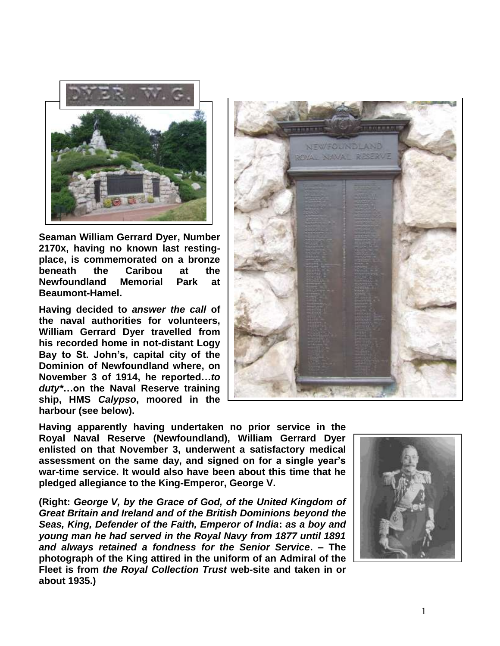

**Seaman William Gerrard Dyer, Number 2170x, having no known last restingplace, is commemorated on a bronze beneath the Caribou at the Newfoundland Memorial Park at Beaumont-Hamel.**

**Having decided to** *answer the call* **of the naval authorities for volunteers, William Gerrard Dyer travelled from his recorded home in not-distant Logy Bay to St. John's, capital city of the Dominion of Newfoundland where, on November 3 of 1914, he reported…***to duty\****…on the Naval Reserve training ship, HMS** *Calypso***, moored in the harbour (see below).** 



**Having apparently having undertaken no prior service in the Royal Naval Reserve (Newfoundland), William Gerrard Dyer enlisted on that November 3, underwent a satisfactory medical assessment on the same day, and signed on for a single year's war-time service. It would also have been about this time that he pledged allegiance to the King-Emperor, George V.** 

**(Right:** *George V, by the Grace of God, of the United Kingdom of Great Britain and Ireland and of the British Dominions beyond the Seas, King, Defender of the Faith, Emperor of India***:** *as a boy and young man he had served in the Royal Navy from 1877 until 1891 and always retained a fondness for the Senior Service***. – The photograph of the King attired in the uniform of an Admiral of the Fleet is from** *the Royal Collection Trust* **web-site and taken in or about 1935.)**

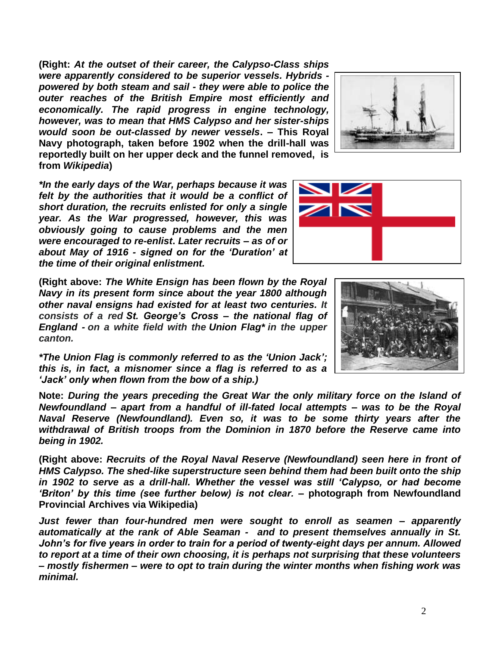**(Right:** *At the outset of their career, the Calypso-Class ships were apparently considered to be superior vessels. Hybrids powered by both steam and sail - they were able to police the outer reaches of the British Empire most efficiently and economically. The rapid progress in engine technology, however, was to mean that HMS Calypso and her sister-ships would soon be out-classed by newer vessels***. – This Royal Navy photograph, taken before 1902 when the drill-hall was reportedly built on her upper deck and the funnel removed, is from** *Wikipedia***)**



*\*In the early days of the War, perhaps because it was felt by the authorities that it would be a conflict of short duration, the recruits enlisted for only a single year. As the War progressed, however, this was obviously going to cause problems and the men were encouraged to re-enlist***.** *Later recruits – as of or about May of 1916 - signed on for the 'Duration' at the time of their original enlistment.*

**(Right above:** *The White Ensign has been flown by the Royal Navy in its present form since about the year 1800 although other naval ensigns had existed for at least two centuries. It consists of a red St. George's Cross – the national flag of England - on a white field with the Union Flag\* in the upper canton.*

*\*The Union Flag is commonly referred to as the 'Union Jack'; this is, in fact, a misnomer since a flag is referred to as a 'Jack' only when flown from the bow of a ship.)* 

**Note:** *During the years preceding the Great War the only military force on the Island of Newfoundland – apart from a handful of ill-fated local attempts – was to be the Royal Naval Reserve (Newfoundland). Even so, it was to be some thirty years after the withdrawal of British troops from the Dominion in 1870 before the Reserve came into being in 1902.* 

**(Right above:** *Recruits of the Royal Naval Reserve (Newfoundland) seen here in front of HMS Calypso. The shed-like superstructure seen behind them had been built onto the ship in 1902 to serve as a drill-hall. Whether the vessel was still 'Calypso, or had become 'Briton' by this time (see further below) is not clear.* **– photograph from Newfoundland Provincial Archives via Wikipedia)**

*Just fewer than four-hundred men were sought to enroll as seamen – apparently automatically at the rank of Able Seaman - and to present themselves annually in St. John's for five years in order to train for a period of twenty-eight days per annum. Allowed to report at a time of their own choosing, it is perhaps not surprising that these volunteers – mostly fishermen – were to opt to train during the winter months when fishing work was minimal.*

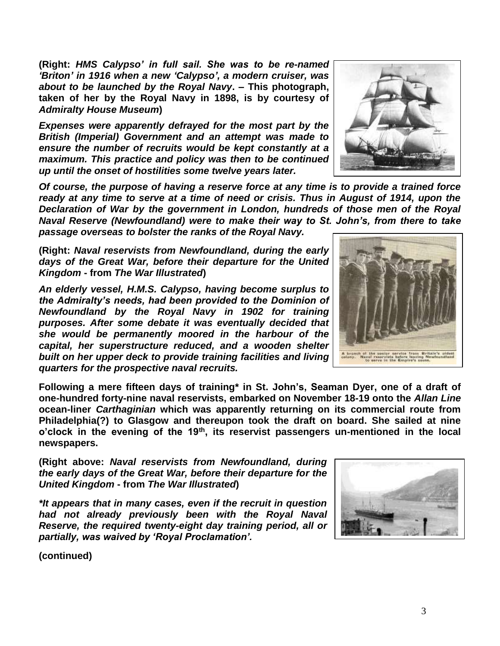**(Right:** *HMS Calypso' in full sail. She was to be re-named 'Briton' in 1916 when a new 'Calypso', a modern cruiser, was about to be launched by the Royal Navy***. – This photograph, taken of her by the Royal Navy in 1898, is by courtesy of**  *Admiralty House Museum***)**

*Expenses were apparently defrayed for the most part by the British (Imperial) Government and an attempt was made to ensure the number of recruits would be kept constantly at a maximum. This practice and policy was then to be continued up until the onset of hostilities some twelve years later.*

*Of course, the purpose of having a reserve force at any time is to provide a trained force ready at any time to serve at a time of need or crisis. Thus in August of 1914, upon the Declaration of War by the government in London, hundreds of those men of the Royal Naval Reserve (Newfoundland) were to make their way to St. John's, from there to take passage overseas to bolster the ranks of the Royal Navy.*

**(Right:** *Naval reservists from Newfoundland, during the early days of the Great War, before their departure for the United Kingdom* **- from** *The War Illustrated***)**

*An elderly vessel, H.M.S. Calypso, having become surplus to the Admiralty's needs, had been provided to the Dominion of Newfoundland by the Royal Navy in 1902 for training purposes. After some debate it was eventually decided that she would be permanently moored in the harbour of the capital, her superstructure reduced, and a wooden shelter built on her upper deck to provide training facilities and living quarters for the prospective naval recruits.*

**Following a mere fifteen days of training\* in St. John's, Seaman Dyer, one of a draft of one-hundred forty-nine naval reservists, embarked on November 18-19 onto the** *Allan Line* **ocean-liner** *Carthaginian* **which was apparently returning on its commercial route from Philadelphia(?) to Glasgow and thereupon took the draft on board. She sailed at nine o'clock in the evening of the 19th, its reservist passengers un-mentioned in the local newspapers.**

**(Right above:** *Naval reservists from Newfoundland, during the early days of the Great War, before their departure for the United Kingdom* **- from** *The War Illustrated***)**

*\*It appears that in many cases, even if the recruit in question had not already previously been with the Royal Naval Reserve, the required twenty-eight day training period, all or partially, was waived by 'Royal Proclamation'.*

**(continued)**





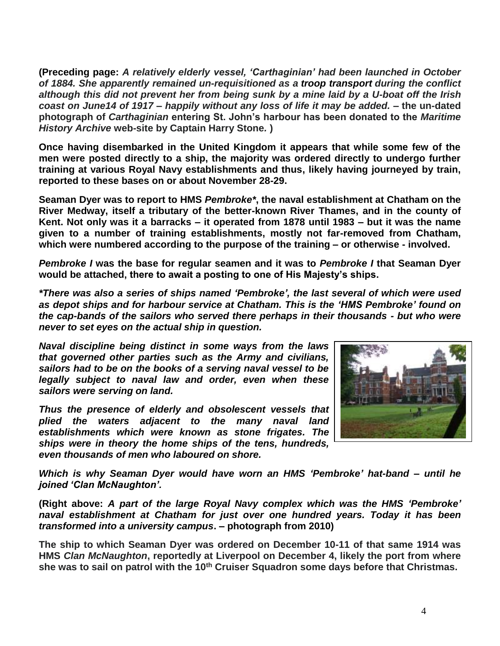**(Preceding page:** *A relatively elderly vessel, 'Carthaginian' had been launched in October of 1884. She apparently remained un-requisitioned as a troop transport during the conflict although this did not prevent her from being sunk by a mine laid by a U-boat off the Irish coast on June14 of 1917 – happily without any loss of life it may be added. –* **the un-dated photograph of** *Carthaginian* **entering St. John's harbour has been donated to the** *Maritime History Archive* **web-site by Captain Harry Stone***.* **)**

**Once having disembarked in the United Kingdom it appears that while some few of the men were posted directly to a ship, the majority was ordered directly to undergo further training at various Royal Navy establishments and thus, likely having journeyed by train, reported to these bases on or about November 28-29.**

**Seaman Dyer was to report to HMS** *Pembroke\****, the naval establishment at Chatham on the River Medway, itself a tributary of the better-known River Thames, and in the county of Kent. Not only was it a barracks – it operated from 1878 until 1983 – but it was the name given to a number of training establishments, mostly not far-removed from Chatham, which were numbered according to the purpose of the training – or otherwise - involved.** 

*Pembroke I* **was the base for regular seamen and it was to** *Pembroke I* **that Seaman Dyer would be attached, there to await a posting to one of His Majesty's ships.**

*\*There was also a series of ships named 'Pembroke', the last several of which were used as depot ships and for harbour service at Chatham. This is the 'HMS Pembroke' found on the cap-bands of the sailors who served there perhaps in their thousands - but who were never to set eyes on the actual ship in question.*

*Naval discipline being distinct in some ways from the laws that governed other parties such as the Army and civilians, sailors had to be on the books of a serving naval vessel to be legally subject to naval law and order, even when these sailors were serving on land.*

*Thus the presence of elderly and obsolescent vessels that plied the waters adjacent to the many naval land establishments which were known as stone frigates. The ships were in theory the home ships of the tens, hundreds, even thousands of men who laboured on shore.*



*Which is why Seaman Dyer would have worn an HMS 'Pembroke' hat-band – until he joined 'Clan McNaughton'.*

**(Right above:** *A part of the large Royal Navy complex which was the HMS 'Pembroke' naval establishment at Chatham for just over one hundred years. Today it has been transformed into a university campus***. – photograph from 2010)**

**The ship to which Seaman Dyer was ordered on December 10-11 of that same 1914 was HMS** *Clan McNaughton***, reportedly at Liverpool on December 4, likely the port from where she was to sail on patrol with the 10th Cruiser Squadron some days before that Christmas.**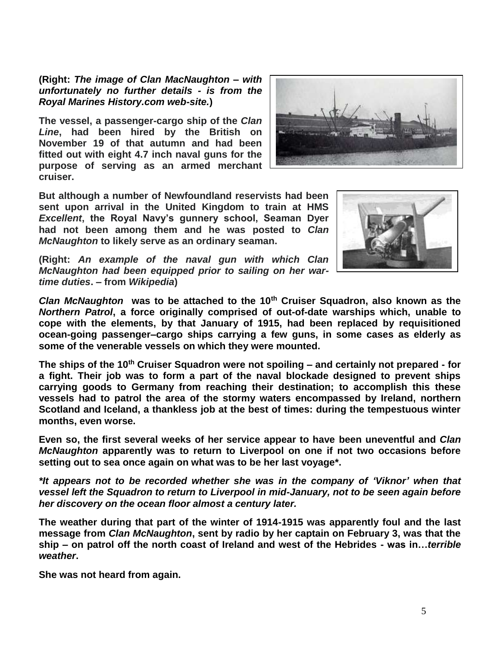**(Right:** *The image of Clan MacNaughton – with unfortunately no further details - is from the Royal Marines History.com web-site.***)**

**The vessel, a passenger-cargo ship of the** *Clan Line***, had been hired by the British on November 19 of that autumn and had been fitted out with eight 4.7 inch naval guns for the purpose of serving as an armed merchant cruiser.**



**But although a number of Newfoundland reservists had been sent upon arrival in the United Kingdom to train at HMS**  *Excellent***, the Royal Navy's gunnery school, Seaman Dyer had not been among them and he was posted to** *Clan McNaughton* **to likely serve as an ordinary seaman.**



**(Right:** *An example of the naval gun with which Clan McNaughton had been equipped prior to sailing on her wartime duties***. – from** *Wikipedia***)**

*Clan McNaughton* **was to be attached to the 10th Cruiser Squadron, also known as the**  *Northern Patrol***, a force originally comprised of out-of-date warships which, unable to cope with the elements, by that January of 1915, had been replaced by requisitioned ocean-going passenger–cargo ships carrying a few guns, in some cases as elderly as some of the venerable vessels on which they were mounted.**

**The ships of the 10th Cruiser Squadron were not spoiling – and certainly not prepared - for a fight. Their job was to form a part of the naval blockade designed to prevent ships carrying goods to Germany from reaching their destination; to accomplish this these vessels had to patrol the area of the stormy waters encompassed by Ireland, northern Scotland and Iceland, a thankless job at the best of times: during the tempestuous winter months, even worse.**

**Even so, the first several weeks of her service appear to have been uneventful and** *Clan McNaughton* **apparently was to return to Liverpool on one if not two occasions before setting out to sea once again on what was to be her last voyage\*.**

*\*It appears not to be recorded whether she was in the company of 'Viknor' when that vessel left the Squadron to return to Liverpool in mid-January, not to be seen again before her discovery on the ocean floor almost a century later.*

**The weather during that part of the winter of 1914-1915 was apparently foul and the last message from** *Clan McNaughton***, sent by radio by her captain on February 3, was that the ship – on patrol off the north coast of Ireland and west of the Hebrides - was in…***terrible weather***.** 

**She was not heard from again.**